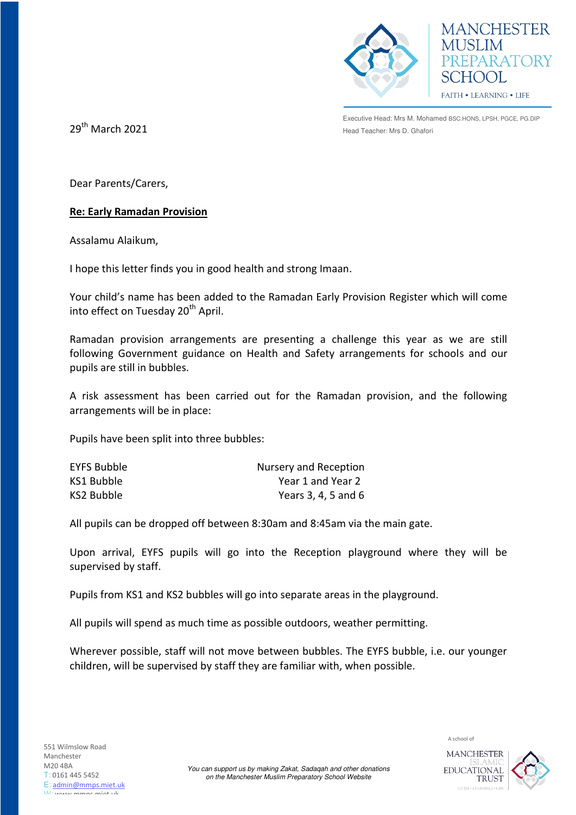



Executive Head: Mrs M. Mohamed BSC.HONS, LPSH, PGCE, PG.DIP  $29<sup>th</sup>$  **March 2021 Example 2021 Head Teacher: Mrs D. Ghafori** 

Dear Parents/Carers,

## **Re: Early Ramadan Provision**

Assalamu Alaikum,

I hope this letter finds you in good health and strong Imaan.

Your child's name has been added to the Ramadan Early Provision Register which will come into effect on Tuesday 20<sup>th</sup> April.

Ramadan provision arrangements are presenting a challenge this year as we are still following Government guidance on Health and Safety arrangements for schools and our pupils are still in bubbles.

A risk assessment has been carried out for the Ramadan provision, and the following arrangements will be in place:

Pupils have been split into three bubbles:

| <b>EYFS Bubble</b> | Nursery and Reception |
|--------------------|-----------------------|
| KS1 Bubble         | Year 1 and Year 2     |
| KS2 Bubble         | Years 3, 4, 5 and 6   |

All pupils can be dropped off between 8:30am and 8:45am via the main gate.

Upon arrival, EYFS pupils will go into the Reception playground where they will be supervised by staff.

Pupils from KS1 and KS2 bubbles will go into separate areas in the playground.

All pupils will spend as much time as possible outdoors, weather permitting.

Wherever possible, staff will not move between bubbles. The EYFS bubble, i.e. our younger children, will be supervised by staff they are familiar with, when possible.